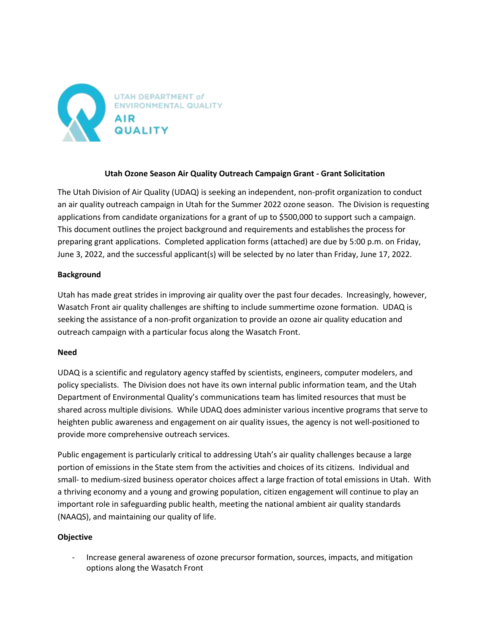

# **Utah Ozone Season Air Quality Outreach Campaign Grant - Grant Solicitation**

The Utah Division of Air Quality (UDAQ) is seeking an independent, non-profit organization to conduct an air quality outreach campaign in Utah for the Summer 2022 ozone season. The Division is requesting applications from candidate organizations for a grant of up to \$500,000 to support such a campaign. This document outlines the project background and requirements and establishes the process for preparing grant applications. Completed application forms (attached) are due by 5:00 p.m. on Friday, June 3, 2022, and the successful applicant(s) will be selected by no later than Friday, June 17, 2022.

## **Background**

Utah has made great strides in improving air quality over the past four decades. Increasingly, however, Wasatch Front air quality challenges are shifting to include summertime ozone formation. UDAQ is seeking the assistance of a non-profit organization to provide an ozone air quality education and outreach campaign with a particular focus along the Wasatch Front.

#### **Need**

UDAQ is a scientific and regulatory agency staffed by scientists, engineers, computer modelers, and policy specialists. The Division does not have its own internal public information team, and the Utah Department of Environmental Quality's communications team has limited resources that must be shared across multiple divisions. While UDAQ does administer various incentive programs that serve to heighten public awareness and engagement on air quality issues, the agency is not well-positioned to provide more comprehensive outreach services.

Public engagement is particularly critical to addressing Utah's air quality challenges because a large portion of emissions in the State stem from the activities and choices of its citizens. Individual and small- to medium-sized business operator choices affect a large fraction of total emissions in Utah. With a thriving economy and a young and growing population, citizen engagement will continue to play an important role in safeguarding public health, meeting the national ambient air quality standards (NAAQS), and maintaining our quality of life.

## **Objective**

- Increase general awareness of ozone precursor formation, sources, impacts, and mitigation options along the Wasatch Front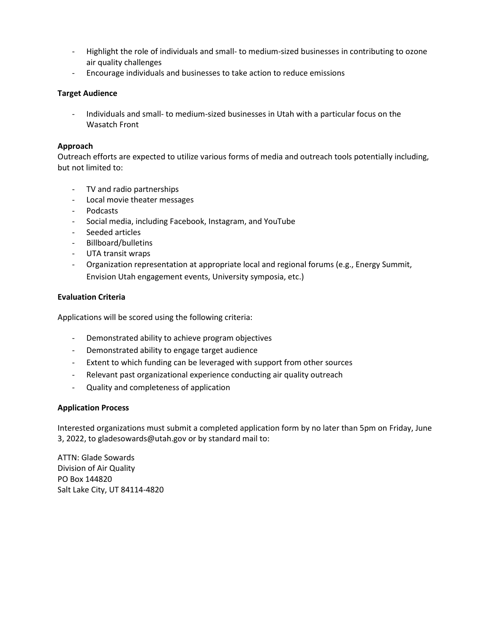- Highlight the role of individuals and small- to medium-sized businesses in contributing to ozone air quality challenges
- Encourage individuals and businesses to take action to reduce emissions

# **Target Audience**

- Individuals and small- to medium-sized businesses in Utah with a particular focus on the Wasatch Front

# **Approach**

Outreach efforts are expected to utilize various forms of media and outreach tools potentially including, but not limited to:

- TV and radio partnerships
- Local movie theater messages
- Podcasts
- Social media, including Facebook, Instagram, and YouTube
- Seeded articles
- Billboard/bulletins
- UTA transit wraps
- Organization representation at appropriate local and regional forums (e.g., Energy Summit, Envision Utah engagement events, University symposia, etc.)

# **Evaluation Criteria**

Applications will be scored using the following criteria:

- Demonstrated ability to achieve program objectives
- Demonstrated ability to engage target audience
- Extent to which funding can be leveraged with support from other sources
- Relevant past organizational experience conducting air quality outreach
- Quality and completeness of application

## **Application Process**

Interested organizations must submit a completed application form by no later than 5pm on Friday, June 3, 2022, to [gladesowards@utah.gov](mailto:mberger@utah.gov) or by standard mail to:

ATTN: Glade Sowards Division of Air Quality PO Box 144820 Salt Lake City, UT 84114-4820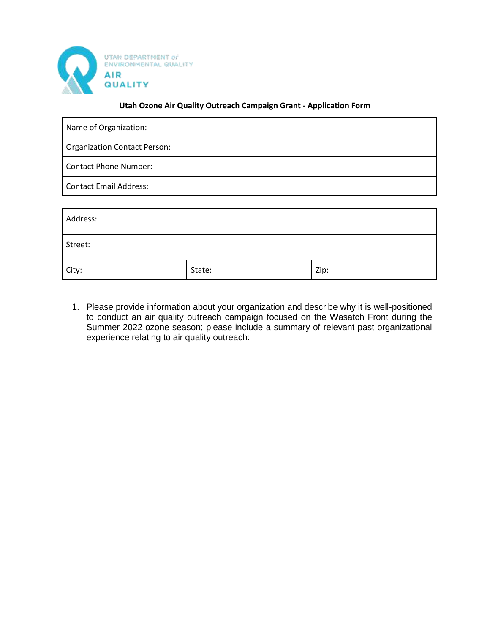

#### **Utah Ozone Air Quality Outreach Campaign Grant - Application Form**

| Name of Organization:               |
|-------------------------------------|
| <b>Organization Contact Person:</b> |
| <b>Contact Phone Number:</b>        |
| <b>Contact Email Address:</b>       |
|                                     |
| Address:                            |
| Street:                             |

1. Please provide information about your organization and describe why it is well-positioned to conduct an air quality outreach campaign focused on the Wasatch Front during the Summer 2022 ozone season; please include a summary of relevant past organizational experience relating to air quality outreach:

City:  $\qquad \qquad \qquad$  State:  $\qquad \qquad$  Zip: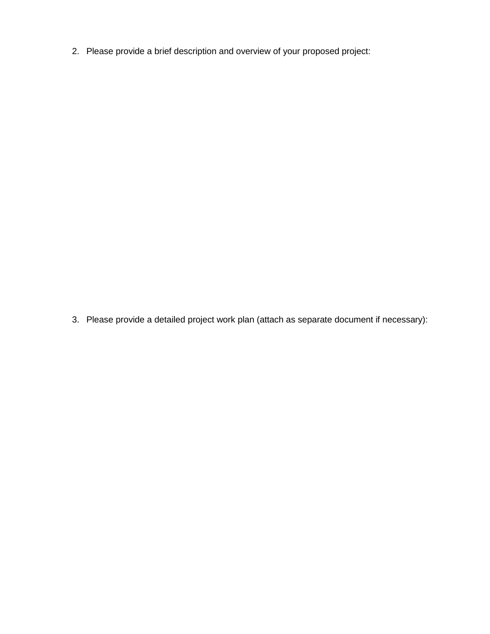2. Please provide a brief description and overview of your proposed project:

3. Please provide a detailed project work plan (attach as separate document if necessary):